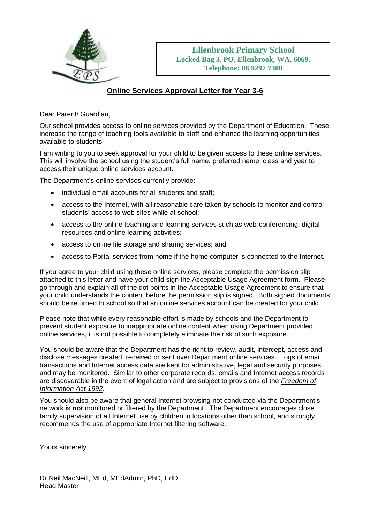

## **Online Services Approval Letter for Year 3-6**

Dear Parent/ Guardian,

Our school provides access to online services provided by the Department of Education. These increase the range of teaching tools available to staff and enhance the learning opportunities available to students.

I am writing to you to seek approval for your child to be given access to these online services. This will involve the school using the student's full name, preferred name, class and year to access their unique online services account.

The Department's online services currently provide:

- individual email accounts for all students and staff;
- access to the Internet, with all reasonable care taken by schools to monitor and control students' access to web sites while at school;
- access to the online teaching and learning services such as web-conferencing, digital resources and online learning activities;
- access to online file storage and sharing services; and
- access to Portal services from home if the home computer is connected to the Internet.

If you agree to your child using these online services, please complete the permission slip attached to this letter and have your child sign the Acceptable Usage Agreement form. Please go through and explain all of the dot points in the Acceptable Usage Agreement to ensure that your child understands the content before the permission slip is signed. Both signed documents should be returned to school so that an online services account can be created for your child.

Please note that while every reasonable effort is made by schools and the Department to prevent student exposure to inappropriate online content when using Department provided online services, it is not possible to completely eliminate the risk of such exposure.

You should be aware that the Department has the right to review, audit, intercept, access and disclose messages created, received or sent over Department online services. Logs of email transactions and Internet access data are kept for administrative, legal and security purposes and may be monitored. Similar to other corporate records, emails and Internet access records are discoverable in the event of legal action and are subject to provisions of the *[Freedom of](http://www.slp.wa.gov.au/legislation/statutes.nsf/main_mrtitle_353_homepage.html)  [Information Act 1992.](http://www.slp.wa.gov.au/legislation/statutes.nsf/main_mrtitle_353_homepage.html)* 

You should also be aware that general Internet browsing not conducted via the Department's network is **not** monitored or filtered by the Department. The Department encourages close family supervision of all Internet use by children in locations other than school, and strongly recommends the use of appropriate Internet filtering software.

Yours sincerely

Dr Neil MacNeill, MEd, MEdAdmin, PhD, EdD. Head Master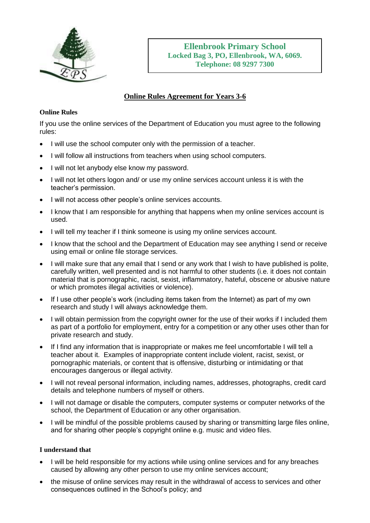

## **Online Rules Agreement for Years 3-6**

## **Online Rules**

If you use the online services of the Department of Education you must agree to the following rules:

- I will use the school computer only with the permission of a teacher.
- I will follow all instructions from teachers when using school computers.
- I will not let anybody else know my password.
- I will not let others logon and/ or use my online services account unless it is with the teacher's permission.
- I will not access other people's online services accounts.
- I know that I am responsible for anything that happens when my online services account is used.
- I will tell my teacher if I think someone is using my online services account.
- I know that the school and the Department of Education may see anything I send or receive using email or online file storage services.
- I will make sure that any email that I send or any work that I wish to have published is polite, carefully written, well presented and is not harmful to other students (i.e. it does not contain material that is pornographic, racist, sexist, inflammatory, hateful, obscene or abusive nature or which promotes illegal activities or violence).
- If I use other people's work (including items taken from the Internet) as part of my own research and study I will always acknowledge them.
- I will obtain permission from the copyright owner for the use of their works if I included them as part of a portfolio for employment, entry for a competition or any other uses other than for private research and study.
- If I find any information that is inappropriate or makes me feel uncomfortable I will tell a teacher about it. Examples of inappropriate content include violent, racist, sexist, or pornographic materials, or content that is offensive, disturbing or intimidating or that encourages dangerous or illegal activity.
- I will not reveal personal information, including names, addresses, photographs, credit card details and telephone numbers of myself or others.
- I will not damage or disable the computers, computer systems or computer networks of the school, the Department of Education or any other organisation.
- I will be mindful of the possible problems caused by sharing or transmitting large files online, and for sharing other people's copyright online e.g. music and video files.

## **I understand that**

- I will be held responsible for my actions while using online services and for any breaches caused by allowing any other person to use my online services account;
- the misuse of online services may result in the withdrawal of access to services and other consequences outlined in the School's policy; and